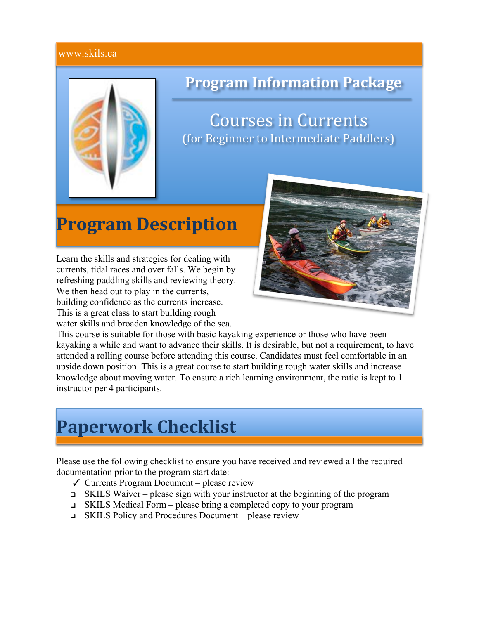#### www.skils.ca



### **Program'Information Package**

**Courses in Currents** (for Beginner to Intermediate Paddlers)

## **Program Description**

Learn the skills and strategies for dealing with currents, tidal races and over falls. We begin by refreshing paddling skills and reviewing theory. We then head out to play in the currents, building confidence as the currents increase. This is a great class to start building rough water skills and broaden knowledge of the sea.



This course is suitable for those with basic kayaking experience or those who have been kayaking a while and want to advance their skills. It is desirable, but not a requirement, to have attended a rolling course before attending this course. Candidates must feel comfortable in an upside down position. This is a great course to start building rough water skills and increase knowledge about moving water. To ensure a rich learning environment, the ratio is kept to 1 instructor per 4 participants.

## **Paperwork'Checklist**

Please use the following checklist to ensure you have received and reviewed all the required documentation prior to the program start date:

- $\checkmark$  Currents Program Document please review
- SKILS Waiver please sign with your instructor at the beginning of the program
- $\Box$  SKILS Medical Form please bring a completed copy to your program
- SKILS Policy and Procedures Document please review